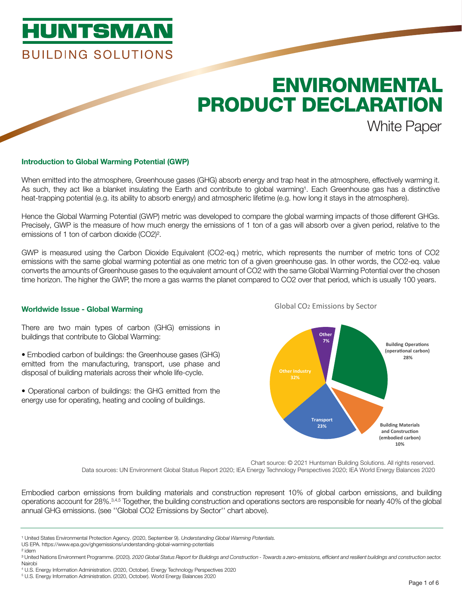# **HUNTSMAN BUILDING SOLUTIONS**

# ENVIRONMENTAL PRODUCT DECLARATION White Paper

#### Introduction to Global Warming Potential (GWP)

When emitted into the atmosphere, Greenhouse gases (GHG) absorb energy and trap heat in the atmosphere, effectively warming it. As such, they act like a blanket insulating the Earth and contribute to global warming<sup>1</sup>. Each Greenhouse gas has a distinctive heat-trapping potential (e.g. its ability to absorb energy) and atmospheric lifetime (e.g. how long it stays in the atmosphere).

Hence the Global Warming Potential (GWP) metric was developed to compare the global warming impacts of those different GHGs. Precisely, GWP is the measure of how much energy the emissions of 1 ton of a gas will absorb over a given period, relative to the emissions of 1 ton of carbon dioxide (CO2)².

GWP is measured using the Carbon Dioxide Equivalent (CO2-eq.) metric, which represents the number of metric tons of CO2 emissions with the same global warming potential as one metric ton of a given greenhouse gas. In other words, the CO2-eq. value converts the amounts of Greenhouse gases to the equivalent amount of CO2 with the same Global Warming Potential over the chosen time horizon. The higher the GWP, the more a gas warms the planet compared to CO2 over that period, which is usually 100 years.

#### Worldwide Issue - Global Warming

There are two main types of carbon (GHG) emissions in buildings that contribute to Global Warming:

- Embodied carbon of buildings: the Greenhouse gases (GHG) emitted from the manufacturing, transport, use phase and disposal of building materials across their whole life-cycle.
- Operational carbon of buildings: the GHG emitted from the energy use for operating, heating and cooling of buildings.



Global CO2 Emissions by Sector

Chart source: © 2021 Huntsman Building Solutions. All rights reserved. Data sources: UN Environment Global Status Report 2020; IEA Energy Technology Perspectives 2020; IEA World Energy Balances 2020

Embodied carbon emissions from building materials and construction represent 10% of global carbon emissions, and building operations account for 28%.3,4,5 Together, the building construction and operations sectors are responsible for nearly 40% of the global annual GHG emissions. (see ''Global CO2 Emissions by Sector'' chart above).

- <sup>1</sup> United States Environmental Protection Agency. (2020, September 9). *Understanding Global Warming Potentials*.
- US EPA. https://www.epa.gov/ghgemissions/understanding-global-warming-potentials ² idem

4 U.S. Energy Information Administration. (2020, October). Energy Technology Perspectives 2020

³ United Nations Environment Programme. (2020). *2020 Global Status Report for Buildings and Construction - Towards a zero-emissions, efficient and resilient buildings and construction sector.* Nairobi

<sup>5</sup> U.S. Energy Information Administration. (2020, October). World Energy Balances 2020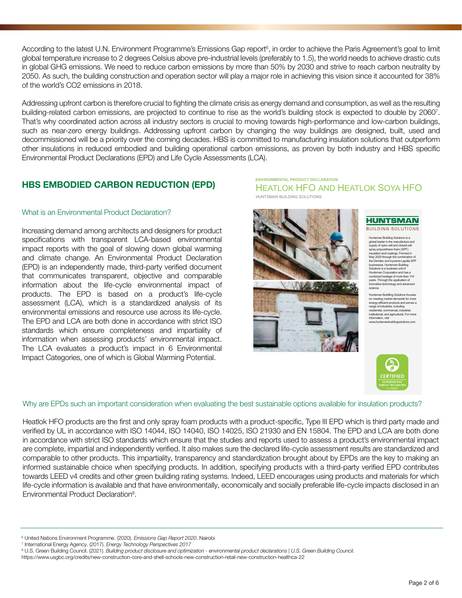According to the latest U.N. Environment Programme's Emissions Gap report<sup>6</sup>, in order to achieve the Paris Agreement's goal to limit global temperature increase to 2 degrees Celsius above pre-industrial levels (preferably to 1.5), the world needs to achieve drastic cuts in global GHG emissions. We need to reduce carbon emissions by more than 50% by 2030 and strive to reach carbon neutrality by 2050. As such, the building construction and operation sector will play a major role in achieving this vision since it accounted for 38% of the world's CO2 emissions in 2018.

Addressing upfront carbon is therefore crucial to fighting the climate crisis as energy demand and consumption, as well as the resulting building-related carbon emissions, are projected to continue to rise as the world's building stock is expected to double by 20607 . That's why coordinated action across all industry sectors is crucial to moving towards high-performance and low-carbon buildings, such as near-zero energy buildings. Addressing upfront carbon by changing the way buildings are designed, built, used and decommissioned will be a priority over the coming decades. HBS is committed to manufacturing insulation solutions that outperform other insulations in reduced embodied and building operational carbon emissions, as proven by both industry and HBS specific Environmental Product Declarations (EPD) and Life Cycle Assessments (LCA).

### HBS EMBODIED CARBON REDUCTION (EPD)

#### What is an Environmental Product Declaration?

Increasing demand among architects and designers for product specifications with transparent LCA-based environmental impact reports with the goal of slowing down global warming and climate change. An Environmental Product Declaration (EPD) is an independently made, third-party verified document that communicates transparent, objective and comparable information about the life-cycle environmental impact of products. The EPD is based on a product's life-cycle assessment (LCA), which is a standardized analysis of its environmental emissions and resource use across its life-cycle. The EPD and LCA are both done in accordance with strict ISO standards which ensure completeness and impartiality of information when assessing products' environmental impact. The LCA evaluates a product's impact in 6 Environmental Impact Categories, one of which is Global Warming Potential.

HEATLOK HFO AND HEATLOK SOYA HFO **ENVIRONMENTAL PRODUCT DECLARATION** HUNTSMAN BUILDING SOLUTIONS





Huntsman Building Solutions is a global leader in the manufacture and supply of open-cell and closed-cell spray polyurethane foam (SPF) insulation and coatings. Formed in May 2020 through the combination of the Demilec and Icynene-Lapolla SPF businesses, Huntsman Building Solutions is a business unit of Huntsman Corporation and has a minimum components in the component of years. Through the application of innovative technology and advanced science,

Huntsman Buildling Solutions focuses on meeting market demands for more energy-efficient products and serves a range of industries, including<br>ntial. commercial. in residential, commercial, industrial, institutional, and agricultural. For more information, visit www.huntsmanbuildingsolutions.com.



Why are EPDs such an important consideration when evaluating the best sustainable options available for insulation products?

Heatlok HFO products are the first and only spray foam products with a product-specific, Type III EPD which is third party made and verified by UL in accordance with ISO 14044, ISO 14040, ISO 14025, ISO 21930 and EN 15804. The EPD and LCA are both done in accordance with strict ISO standards which ensure that the studies and reports used to assess a product's environmental impact are complete, impartial and independently verified. It also makes sure the declared life-cycle assessment results are standardized and comparable to other products. This impartiality, transparency and standardization brought about by EPDs are the key to making an informed sustainable choice when specifying products. In addition, specifying products with a third-party verified EPD contributes towards LEED v4 credits and other green building rating systems. Indeed, LEED encourages using products and materials for which life-cycle information is available and that have environmentally, economically and socially preferable life-cycle impacts disclosed in an Environmental Product Declaration<sup>8</sup>.

<sup>6</sup> United Nations Environment Programme. (2020). *Emissions Gap Report 2020*. Nairobi

<sup>7</sup> International Energy Agency. (2017). *Energy Technology Perspectives 2017*

<sup>8</sup> U.S. Green Building Council. (2021). *Building product disclosure and optimization - environmental product declarations | U.S. Green Building Council.*

https://www.usgbc.org/credits/new-construction-core-and-shell-schools-new-construction-retail-new-construction-healthca-22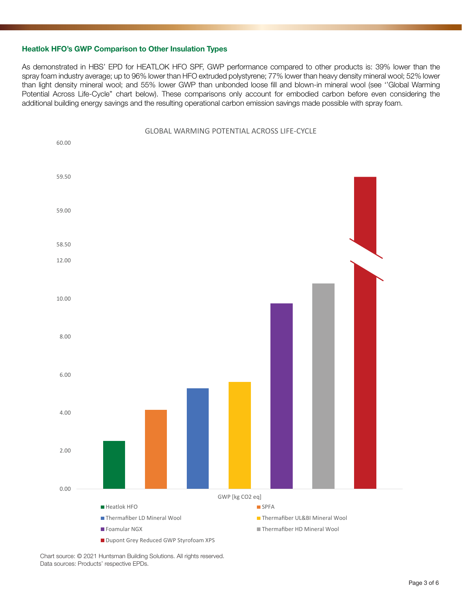#### Heatlok HFO's GWP Comparison to Other Insulation Types

As demonstrated in HBS' EPD for HEATLOK HFO SPF, GWP performance compared to other products is: 39% lower than the spray foam industry average; up to 96% lower than HFO extruded polystyrene; 77% lower than heavy density mineral wool; 52% lower than light density mineral wool; and 55% lower GWP than unbonded loose fill and blown-in mineral wool (see ''Global Warming Potential Across Life-Cycle'' chart below). These comparisons only account for embodied carbon before even considering the additional building energy savings and the resulting operational carbon emission savings made possible with spray foam.



Chart source: © 2021 Huntsman Building Solutions. All rights reserved. Data sources: Products' respective EPDs.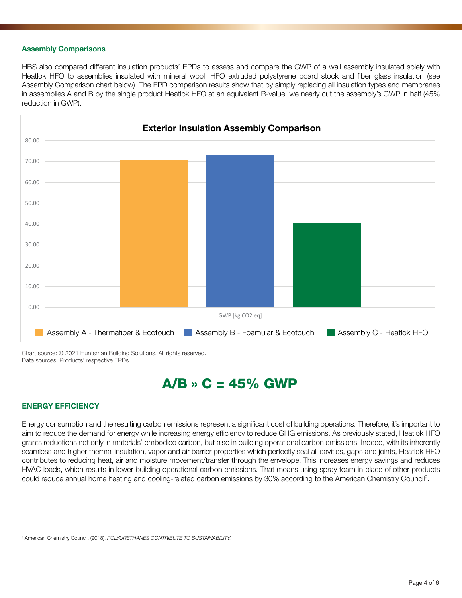#### Assembly Comparisons

HBS also compared different insulation products' EPDs to assess and compare the GWP of a wall assembly insulated solely with Heatlok HFO to assemblies insulated with mineral wool, HFO extruded polystyrene board stock and fiber glass insulation (see Assembly Comparison chart below). The EPD comparison results show that by simply replacing all insulation types and membranes in assemblies A and B by the single product Heatlok HFO at an equivalent R-value, we nearly cut the assembly's GWP in half (45% reduction in GWP).



Chart source: © 2021 Huntsman Building Solutions. All rights reserved. Data sources: Products' respective EPDs.

## $A/B \rightarrow C = 45\%$  GWP

#### ENERGY EFFICIENCY

Energy consumption and the resulting carbon emissions represent a significant cost of building operations. Therefore, it's important to aim to reduce the demand for energy while increasing energy efficiency to reduce GHG emissions. As previously stated, Heatlok HFO grants reductions not only in materials' embodied carbon, but also in building operational carbon emissions. Indeed, with its inherently seamless and higher thermal insulation, vapor and air barrier properties which perfectly seal all cavities, gaps and joints, Heatlok HFO contributes to reducing heat, air and moisture movement/transfer through the envelope. This increases energy savings and reduces HVAC loads, which results in lower building operational carbon emissions. That means using spray foam in place of other products could reduce annual home heating and cooling-related carbon emissions by 30% according to the American Chemistry Council9 .

9 American Chemistry Council. (2018). *POLYURETHANES CONTRIBUTE TO SUSTAINABILITY.*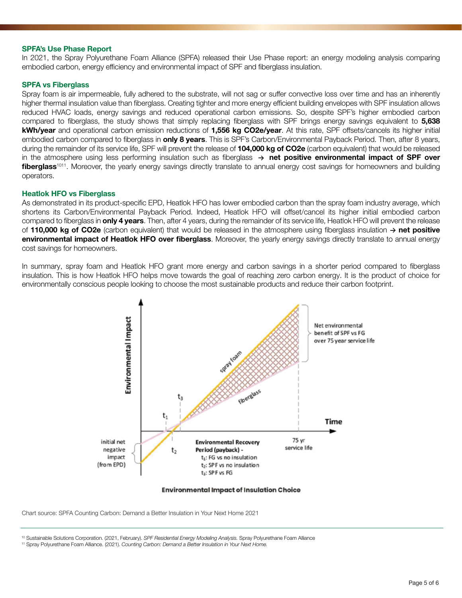#### SPFA's Use Phase Report

In 2021, the Spray Polyurethane Foam Alliance (SPFA) released their Use Phase report: an energy modeling analysis comparing embodied carbon, energy efficiency and environmental impact of SPF and fiberglass insulation.

#### SPFA vs Fiberglass

Spray foam is air impermeable, fully adhered to the substrate, will not sag or suffer convective loss over time and has an inherently higher thermal insulation value than fiberglass. Creating tighter and more energy efficient building envelopes with SPF insulation allows reduced HVAC loads, energy savings and reduced operational carbon emissions. So, despite SPF's higher embodied carbon compared to fiberglass, the study shows that simply replacing fiberglass with SPF brings energy savings equivalent to 5,638 kWh/year and operational carbon emission reductions of 1,556 kg CO2e/year. At this rate, SPF offsets/cancels its higher initial embodied carbon compared to fiberglass in **only 8 years**. This is SPF's Carbon/Environmental Payback Period. Then, after 8 years, during the remainder of its service life, SPF will prevent the release of 104,000 kg of CO2e (carbon equivalent) that would be released in the atmosphere using less performing insulation such as fiberglass  $\rightarrow$  net positive environmental impact of SPF over fiberglass<sup>1011</sup>. Moreover, the yearly energy savings directly translate to annual energy cost savings for homeowners and building operators.

#### Heatlok HFO vs Fiberglass

As demonstrated in its product-specific EPD, Heatlok HFO has lower embodied carbon than the spray foam industry average, which shortens its Carbon/Environmental Payback Period. Indeed, Heatlok HFO will offset/cancel its higher initial embodied carbon compared to fiberglass in **only 4 years**. Then, after 4 years, during the remainder of its service life, Heatlok HFO will prevent the release of 110,000 kg of CO2e (carbon equivalent) that would be released in the atmosphere using fiberglass insulation  $\rightarrow$  net positive environmental impact of Heatlok HFO over fiberglass. Moreover, the yearly energy savings directly translate to annual energy cost savings for homeowners.

In summary, spray foam and Heatlok HFO grant more energy and carbon savings in a shorter period compared to fiberglass insulation. This is how Heatlok HFO helps move towards the goal of reaching zero carbon energy. It is the product of choice for environmentally conscious people looking to choose the most sustainable products and reduce their carbon footprint.



#### **Environmental Impact of Insulation Choice**

Chart source: SPFA Counting Carbon: Demand a Better Insulation in Your Next Home 2021

10 Sustainable Solutions Corporation. (2021, February). *SPF Residential Energy Modeling Analysis.* Spray Polyurethane Foam Alliance

11 Spray Polyurethane Foam Alliance. (2021). *Counting Carbon: Demand a Better Insulation in Your Next Home.*